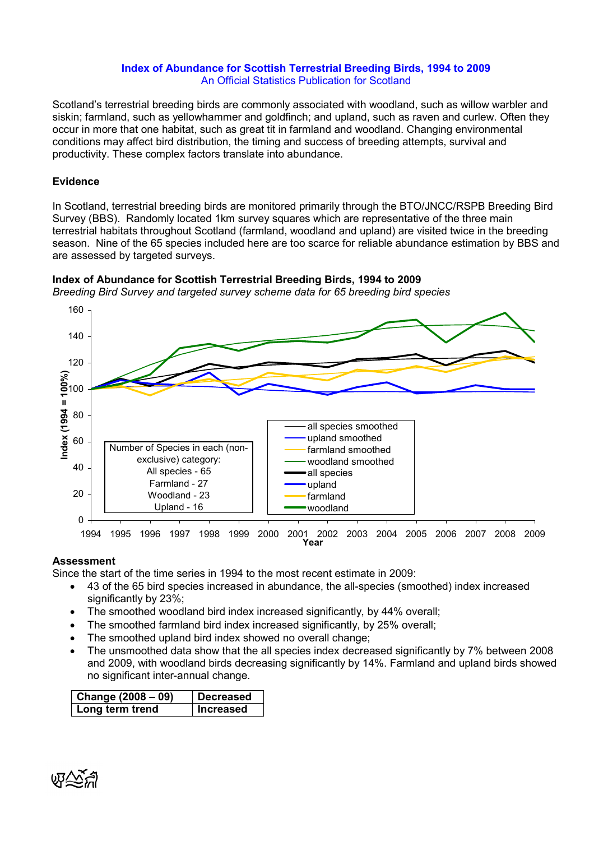## Index of Abundance for Scottish Terrestrial Breeding Birds, 1994 to 2009 An Official Statistics Publication for Scotland

Scotland's terrestrial breeding birds are commonly associated with woodland, such as willow warbler and siskin; farmland, such as yellowhammer and goldfinch; and upland, such as raven and curlew. Often they occur in more that one habitat, such as great tit in farmland and woodland. Changing environmental conditions may affect bird distribution, the timing and success of breeding attempts, survival and productivity. These complex factors translate into abundance.

## Evidence

In Scotland, terrestrial breeding birds are monitored primarily through the BTO/JNCC/RSPB Breeding Bird Survey (BBS). Randomly located 1km survey squares which are representative of the three main terrestrial habitats throughout Scotland (farmland, woodland and upland) are visited twice in the breeding season. Nine of the 65 species included here are too scarce for reliable abundance estimation by BBS and are assessed by targeted surveys.



Index of Abundance for Scottish Terrestrial Breeding Birds, 1994 to 2009

# Assessment

Since the start of the time series in 1994 to the most recent estimate in 2009:

- 43 of the 65 bird species increased in abundance, the all-species (smoothed) index increased significantly by 23%;
- The smoothed woodland bird index increased significantly, by 44% overall;
- The smoothed farmland bird index increased significantly, by 25% overall:
- The smoothed upland bird index showed no overall change;
- The unsmoothed data show that the all species index decreased significantly by 7% between 2008 and 2009, with woodland birds decreasing significantly by 14%. Farmland and upland birds showed no significant inter-annual change.

| Change $(2008 - 09)$ | <b>Decreased</b> |  |  |  |
|----------------------|------------------|--|--|--|
| Long term trend      | <b>Increased</b> |  |  |  |

$$
\mathbb{Q}\widetilde{\nwarrow}
$$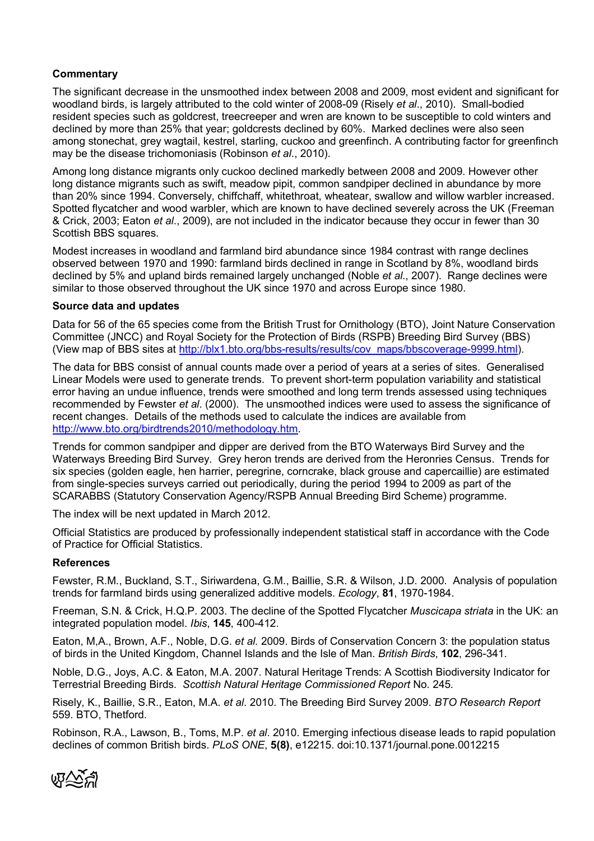## **Commentary**

The significant decrease in the unsmoothed index between 2008 and 2009, most evident and significant for woodland birds, is largely attributed to the cold winter of 2008-09 (Risely et al., 2010). Small-bodied resident species such as goldcrest, treecreeper and wren are known to be susceptible to cold winters and declined by more than 25% that year; goldcrests declined by 60%. Marked declines were also seen among stonechat, grey wagtail, kestrel, starling, cuckoo and greenfinch. A contributing factor for greenfinch may be the disease trichomoniasis (Robinson et al., 2010).

Among long distance migrants only cuckoo declined markedly between 2008 and 2009. However other long distance migrants such as swift, meadow pipit, common sandpiper declined in abundance by more than 20% since 1994. Conversely, chiffchaff, whitethroat, wheatear, swallow and willow warbler increased. Spotted flycatcher and wood warbler, which are known to have declined severely across the UK (Freeman & Crick, 2003; Eaton et al., 2009), are not included in the indicator because they occur in fewer than 30 Scottish BBS squares.

Modest increases in woodland and farmland bird abundance since 1984 contrast with range declines observed between 1970 and 1990: farmland birds declined in range in Scotland by 8%, woodland birds declined by 5% and upland birds remained largely unchanged (Noble et al., 2007). Range declines were similar to those observed throughout the UK since 1970 and across Europe since 1980.

### Source data and updates

Data for 56 of the 65 species come from the British Trust for Ornithology (BTO), Joint Nature Conservation Committee (JNCC) and Royal Society for the Protection of Birds (RSPB) Breeding Bird Survey (BBS) (View map of BBS sites at http://blx1.bto.org/bbs-results/results/cov\_maps/bbscoverage-9999.html).

The data for BBS consist of annual counts made over a period of years at a series of sites. Generalised Linear Models were used to generate trends. To prevent short-term population variability and statistical error having an undue influence, trends were smoothed and long term trends assessed using techniques recommended by Fewster et al. (2000). The unsmoothed indices were used to assess the significance of recent changes. Details of the methods used to calculate the indices are available from http://www.bto.org/birdtrends2010/methodology.htm.

Trends for common sandpiper and dipper are derived from the BTO Waterways Bird Survey and the Waterways Breeding Bird Survey. Grey heron trends are derived from the Heronries Census. Trends for six species (golden eagle, hen harrier, peregrine, corncrake, black grouse and capercaillie) are estimated from single-species surveys carried out periodically, during the period 1994 to 2009 as part of the SCARABBS (Statutory Conservation Agency/RSPB Annual Breeding Bird Scheme) programme.

The index will be next updated in March 2012.

Official Statistics are produced by professionally independent statistical staff in accordance with the Code of Practice for Official Statistics.

### References

Fewster, R.M., Buckland, S.T., Siriwardena, G.M., Baillie, S.R. & Wilson, J.D. 2000. Analysis of population trends for farmland birds using generalized additive models. Ecology, 81, 1970-1984.

Freeman, S.N. & Crick, H.Q.P. 2003. The decline of the Spotted Flycatcher Muscicapa striata in the UK: an integrated population model. Ibis, 145, 400-412.

Eaton, M,A., Brown, A.F., Noble, D.G. et al. 2009. Birds of Conservation Concern 3: the population status of birds in the United Kingdom, Channel Islands and the Isle of Man. British Birds, 102, 296-341.

Noble, D.G., Joys, A.C. & Eaton, M.A. 2007. Natural Heritage Trends: A Scottish Biodiversity Indicator for Terrestrial Breeding Birds. Scottish Natural Heritage Commissioned Report No. 245.

Risely, K., Baillie, S.R., Eaton, M.A. et al. 2010. The Breeding Bird Survey 2009. BTO Research Report 559. BTO, Thetford.

Robinson, R.A., Lawson, B., Toms, M.P. et al. 2010. Emerging infectious disease leads to rapid population declines of common British birds. PLoS ONE, 5(8), e12215. doi:10.1371/journal.pone.0012215

ぬでら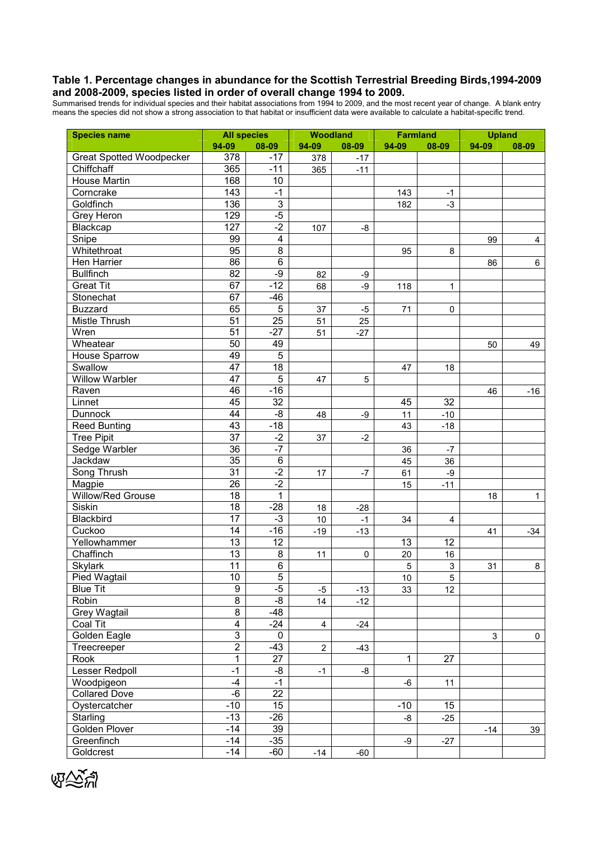#### Table 1. Percentage changes in abundance for the Scottish Terrestrial Breeding Birds,1994-2009 and 2008-2009, species listed in order of overall change 1994 to 2009.

Summarised trends for individual species and their habitat associations from 1994 to 2009, and the most recent year of change. A blank entry means the species did not show a strong association to that habitat or insufficient data were available to calculate a habitat-specific trend.

| <b>Species name</b>             | <b>All species</b><br>Woodland |                     |                | <b>Farmland</b> |          | <b>Upland</b>   |           |                |
|---------------------------------|--------------------------------|---------------------|----------------|-----------------|----------|-----------------|-----------|----------------|
|                                 | 94-09                          | 08-09               | 94-09          | 08-09           | 94-09    | 08-09           | $94 - 09$ | 08-09          |
| <b>Great Spotted Woodpecker</b> | 378                            | $-17$               | 378            | $-17$           |          |                 |           |                |
| Chiffchaff                      | 365                            | $-11$               | 365            | $-11$           |          |                 |           |                |
| House Martin                    | 168                            | 10                  |                |                 |          |                 |           |                |
| Corncrake                       | 143                            | $-1$                |                |                 | 143      | $-1$            |           |                |
| Goldfinch                       | 136                            | $\overline{3}$      |                |                 | 182      | $-3$            |           |                |
| Grey Heron                      | 129                            | $-5$                |                |                 |          |                 |           |                |
| Blackcap                        | $\overline{127}$               | $-2$                | 107            | $-8$            |          |                 |           |                |
| Snipe                           | 99                             | $\overline{4}$      |                |                 |          |                 | 99        | $\overline{4}$ |
| Whitethroat                     | 95                             | $\overline{8}$      |                |                 | 95       | 8               |           |                |
| Hen Harrier                     | 86                             | $\,6$               |                |                 |          |                 | 86        | 6              |
| <b>Bullfinch</b>                | 82                             | $-9$                | 82             | $-9$            |          |                 |           |                |
| <b>Great Tit</b>                | 67                             | $-12$               | 68             | -9              | 118      | 1               |           |                |
| Stonechat                       | 67                             | $-46$               |                |                 |          |                 |           |                |
| <b>Buzzard</b>                  | 65                             | $\mathbf 5$         | 37             | $-5$            | 71       | 0               |           |                |
| Mistle Thrush                   | 51                             | 25                  | 51             | 25              |          |                 |           |                |
| Wren                            | 51                             | $-27$               | 51             | $-27$           |          |                 |           |                |
| Wheatear                        | 50                             | 49                  |                |                 |          |                 | 50        | 49             |
| <b>House Sparrow</b>            | 49                             | $\overline{5}$      |                |                 |          |                 |           |                |
| Swallow                         | 47                             | 18                  |                |                 | 47       | 18              |           |                |
| <b>Willow Warbler</b>           | $\overline{47}$                | $\overline{5}$      | 47             | 5               |          |                 |           |                |
| Raven                           | 46                             | $-16$               |                |                 |          |                 | 46        | $-16$          |
| Linnet                          | 45                             | 32                  |                |                 | 45       | 32              |           |                |
| <b>Dunnock</b>                  | 44                             | -8                  |                |                 | 11       | $-10$           |           |                |
| <b>Reed Bunting</b>             | 43                             | $-18$               | 48             | -9              | 43       | $-18$           |           |                |
| <b>Tree Pipit</b>               | $\overline{37}$                | $-2$                | 37             |                 |          |                 |           |                |
| Sedge Warbler                   | $\overline{36}$                | $-7$                |                | $-2$            |          |                 |           |                |
| Jackdaw                         | $\overline{35}$                | 6                   |                |                 | 36<br>45 | $-7$            |           |                |
| Song Thrush                     | 31                             | $-2$                |                |                 |          | 36              |           |                |
|                                 | 26                             | $-2$                | 17             | $-7$            | 61       | $-9$            |           |                |
| Magpie                          |                                |                     |                |                 | 15       | $-11$           |           |                |
| Willow/Red Grouse               | 18                             | 1                   |                |                 |          |                 | 18        | $\mathbf{1}$   |
| Siskin                          | 18<br>$\overline{17}$          | $-28$               | 18             | $-28$           |          |                 |           |                |
| Blackbird                       |                                | $-3$                | 10             | $-1$            | 34       | 4               |           |                |
| Cuckoo                          | 14                             | $-16$               | $-19$          | $-13$           |          |                 | 41        | $-34$          |
| Yellowhammer                    | 13                             | 12                  |                |                 | 13       | 12              |           |                |
| Chaffinch                       | 13                             | 8                   | 11             | 0               | $20\,$   | 16              |           |                |
| <b>Skylark</b>                  | 11                             | 6                   |                |                 | 5        | 3               | 31        | 8              |
| Pied Wagtail                    | 10                             | 5                   |                |                 | 10       | 5               |           |                |
| <b>Blue Tit</b>                 | 9                              | $-5$                | $-5$           | $-13$           | 33       | 12              |           |                |
| Robin                           | $\overline{8}$                 | $-8$                | 14             | $-12$           |          |                 |           |                |
| Grey Wagtail                    | 8                              | -48                 |                |                 |          |                 |           |                |
| Coal Tit                        | 4                              | $-24$               | $\overline{4}$ | $-24$           |          |                 |           |                |
| Golden Eagle                    | $\overline{3}$                 | $\mathbf 0$         |                |                 |          |                 | 3         | 0              |
| Treecreeper                     | $\overline{2}$                 | $-43$               | $\overline{c}$ | $-43$           |          |                 |           |                |
| Rook                            | $\overline{1}$                 | $\overline{27}$     |                |                 | 1        | $\overline{27}$ |           |                |
| Lesser Redpoll                  | $-1$                           | $-\frac{1}{\alpha}$ | $-1$           | -8              |          |                 |           |                |
| Woodpigeon                      | $-4$                           | $-1$                |                |                 | -6       | 11              |           |                |
| <b>Collared Dove</b>            | -6                             | $\overline{22}$     |                |                 |          |                 |           |                |
| Oystercatcher                   | $-10$                          | $\overline{15}$     |                |                 | $-10$    | 15              |           |                |
| Starling                        | $-13$                          | $-26$               |                |                 | -8       | $-25$           |           |                |
| Golden Plover                   | $-14$                          | 39                  |                |                 |          |                 | $-14$     | 39             |
| Greenfinch                      | $-14$                          | $-35$               |                |                 | -9       | $-27$           |           |                |
| Goldcrest                       | $-14$                          | -60                 | $-14$          | $-60$           |          |                 |           |                |